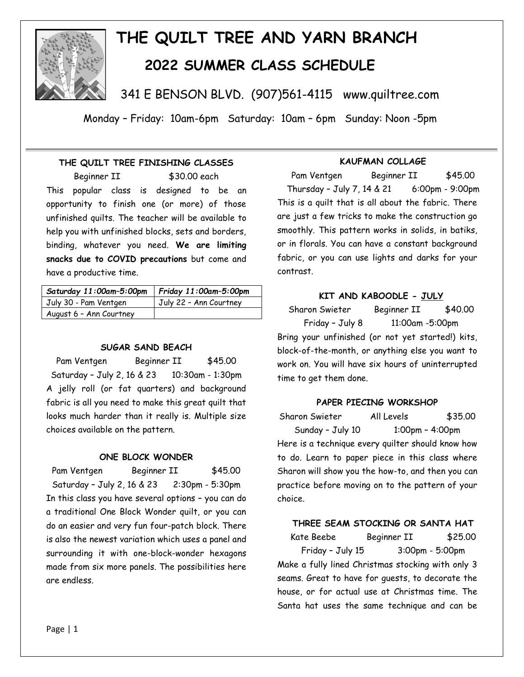

# **THE QUILT TREE AND YARN BRANCH 2022 SUMMER CLASS SCHEDULE**

341 E BENSON BLVD. (907)561-4115 www.quiltree.com

Monday – Friday: 10am-6pm Saturday: 10am – 6pm Sunday: Noon -5pm

# **THE QUILT TREE FINISHING CLASSES**

Beginner II \$30.00 each This popular class is designed to be an opportunity to finish one (or more) of those unfinished quilts. The teacher will be available to help you with unfinished blocks, sets and borders, binding, whatever you need. **We are limiting snacks due to COVID precautions** but come and have a productive time.

| Saturday 11:00am-5:00pm | Friday 11:00am-5:00pm  |
|-------------------------|------------------------|
| July 30 - Pam Ventgen   | July 22 - Ann Courtney |
| August 6 - Ann Courtney |                        |

## **SUGAR SAND BEACH**

Pam Ventgen Beginner II \$45.00 Saturday – July 2, 16 & 23 10:30am - 1:30pm A jelly roll (or fat quarters) and background fabric is all you need to make this great quilt that looks much harder than it really is. Multiple size choices available on the pattern.

## **ONE BLOCK WONDER**

Pam Ventgen Beginner II \$45.00 Saturday – July 2, 16 & 23 2:30pm - 5:30pm In this class you have several options – you can do a traditional One Block Wonder quilt, or you can do an easier and very fun four-patch block. There is also the newest variation which uses a panel and surrounding it with one-block-wonder hexagons made from six more panels. The possibilities here are endless.

## **KAUFMAN COLLAGE**

Pam Ventgen Beginner II \$45.00 Thursday – July 7, 14 & 21 6:00pm - 9:00pm This is a quilt that is all about the fabric. There are just a few tricks to make the construction go smoothly. This pattern works in solids, in batiks, or in florals. You can have a constant background fabric, or you can use lights and darks for your contrast.

## **KIT AND KABOODLE - JULY**

Sharon Swieter Beginner II \$40.00 Friday – July 8 11:00am -5:00pm Bring your unfinished (or not yet started!) kits, block-of-the-month, or anything else you want to work on. You will have six hours of uninterrupted time to get them done.

## **PAPER PIECING WORKSHOP**

Sharon Swieter All Levels \$35.00 Sunday – July 10 1:00pm – 4:00pm Here is a technique every quilter should know how to do. Learn to paper piece in this class where Sharon will show you the how-to, and then you can practice before moving on to the pattern of your choice.

## **THREE SEAM STOCKING OR SANTA HAT**

Kate Beebe Beginner II \$25.00 Friday – July 15 3:00pm - 5:00pm Make a fully lined Christmas stocking with only 3 seams. Great to have for guests, to decorate the house, or for actual use at Christmas time. The Santa hat uses the same technique and can be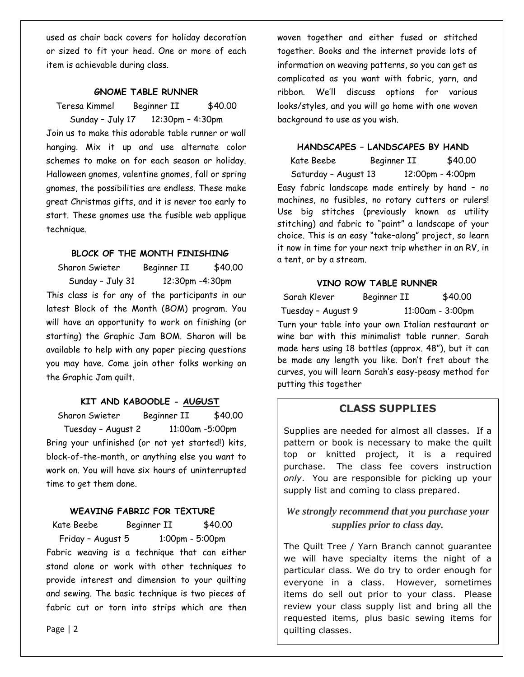used as chair back covers for holiday decoration or sized to fit your head. One or more of each item is achievable during class.

#### **GNOME TABLE RUNNER**

Teresa Kimmel Beginner II \$40.00 Sunday – July 17 12:30pm – 4:30pm Join us to make this adorable table runner or wall hanging. Mix it up and use alternate color schemes to make on for each season or holiday. Halloween gnomes, valentine gnomes, fall or spring gnomes, the possibilities are endless. These make great Christmas gifts, and it is never too early to start. These gnomes use the fusible web applique technique.

#### **BLOCK OF THE MONTH FINISHING**

Sharon Swieter Beginner II \$40.00 Sunday – July 31 12:30pm -4:30pm This class is for any of the participants in our latest Block of the Month (BOM) program. You will have an opportunity to work on finishing (or starting) the Graphic Jam BOM. Sharon will be available to help with any paper piecing questions you may have. Come join other folks working on the Graphic Jam quilt.

## **KIT AND KABOODLE - AUGUST**

Sharon Swieter Beginner II \$40.00 Tuesday – August 2 11:00am -5:00pm Bring your unfinished (or not yet started!) kits, block-of-the-month, or anything else you want to work on. You will have six hours of uninterrupted time to get them done.

## **WEAVING FABRIC FOR TEXTURE**

Kate Beebe Beginner II \$40.00 Friday – August 5 1:00pm - 5:00pm Fabric weaving is a technique that can either stand alone or work with other techniques to provide interest and dimension to your quilting and sewing. The basic technique is two pieces of fabric cut or torn into strips which are then woven together and either fused or stitched together. Books and the internet provide lots of information on weaving patterns, so you can get as complicated as you want with fabric, yarn, and ribbon. We'll discuss options for various looks/styles, and you will go home with one woven background to use as you wish.

## **HANDSCAPES – LANDSCAPES BY HAND**

Kate Beebe Beginner II \$40.00 Saturday – August 13 12:00pm - 4:00pm Easy fabric landscape made entirely by hand – no machines, no fusibles, no rotary cutters or rulers! Use big stitches (previously known as utility stitching) and fabric to "paint" a landscape of your choice. This is an easy "take–along" project, so learn it now in time for your next trip whether in an RV, in a tent, or by a stream.

## **VINO ROW TABLE RUNNER**

| Sarah Klever                                                                                                                                                                                                          | Beginner II | \$40.00          |
|-----------------------------------------------------------------------------------------------------------------------------------------------------------------------------------------------------------------------|-------------|------------------|
| Tuesday - August 9                                                                                                                                                                                                    |             | 11:00am - 3:00pm |
| Turn your table into your own Italian restaurant or<br>wine bar with this minimalist table runner. Sarah<br>made hers using 18 bottles (approx. 48"), but it can<br>be made any length you like. Don't fret about the |             |                  |
| curves, you will learn Sarah's easy-peasy method for<br>putting this together                                                                                                                                         |             |                  |

# **CLASS SUPPLIES**

Supplies are needed for almost all classes. If a pattern or book is necessary to make the quilt top or knitted project, it is a required purchase. The class fee covers instruction *only*. You are responsible for picking up your supply list and coming to class prepared.

# *We strongly recommend that you purchase your supplies prior to class day.*

The Quilt Tree / Yarn Branch cannot guarantee we will have specialty items the night of a particular class. We do try to order enough for everyone in a class. However, sometimes items do sell out prior to your class. Please review your class supply list and bring all the requested items, plus basic sewing items for quilting classes.

Page | 2